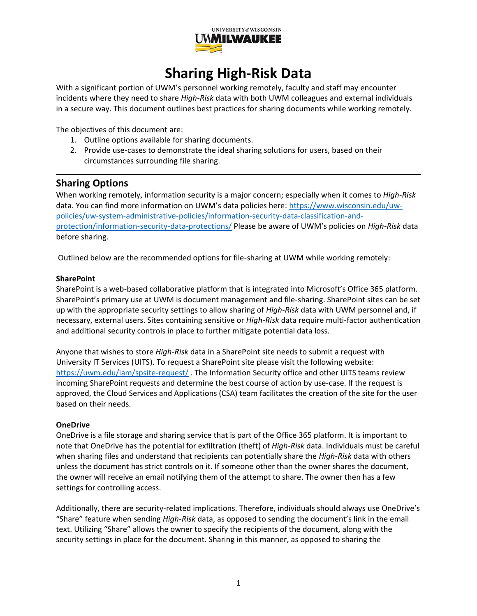

# **Sharing High-Risk Data**

With a significant portion of UWM's personnel working remotely, faculty and staff may encounter incidents where they need to share *High-Risk* data with both UWM colleagues and external individuals in a secure way. This document outlines best practices for sharing documents while working remotely.

The objectives of this document are:

- 1. Outline options available for sharing documents.
- 2. Provide use-cases to demonstrate the ideal sharing solutions for users, based on their circumstances surrounding file sharing.

# **Sharing Options**

When working remotely, information security is a major concern; especially when it comes to *High-Risk* data. You can find more information on UWM's data policies here: [https://www.wisconsin.edu/uw](https://www.wisconsin.edu/uw-policies/uw-system-administrative-policies/information-security-data-classification-and-protection/information-security-data-protections/)[policies/uw-system-administrative-policies/information-security-data-classification-and](https://www.wisconsin.edu/uw-policies/uw-system-administrative-policies/information-security-data-classification-and-protection/information-security-data-protections/)[protection/information-security-data-protections/](https://www.wisconsin.edu/uw-policies/uw-system-administrative-policies/information-security-data-classification-and-protection/information-security-data-protections/) Please be aware of UWM's policies on *High-Risk* data before sharing.

Outlined below are the recommended options for file-sharing at UWM while working remotely:

#### **SharePoint**

SharePoint is a web-based collaborative platform that is integrated into Microsoft's Office 365 platform. SharePoint's primary use at UWM is document management and file-sharing. SharePoint sites can be set up with the appropriate security settings to allow sharing of *High-Risk* data with UWM personnel and, if necessary, external users. Sites containing sensitive or *High-Risk* data require multi-factor authentication and additional security controls in place to further mitigate potential data loss.

Anyone that wishes to store *High-Risk* data in a SharePoint site needs to submit a request with University IT Services (UITS). To request a SharePoint site please visit the following website: <https://uwm.edu/iam/spsite-request/> . The Information Security office and other UITS teams review incoming SharePoint requests and determine the best course of action by use-case. If the request is approved, the Cloud Services and Applications (CSA) team facilitates the creation of the site for the user based on their needs.

#### **OneDrive**

OneDrive is a file storage and sharing service that is part of the Office 365 platform. It is important to note that OneDrive has the potential for exfiltration (theft) of *High-Risk* data. Individuals must be careful when sharing files and understand that recipients can potentially share the *High-Risk* data with others unless the document has strict controls on it. If someone other than the owner shares the document, the owner will receive an email notifying them of the attempt to share. The owner then has a few settings for controlling access.

Additionally, there are security-related implications. Therefore, individuals should always use OneDrive's "Share" feature when sending *High-Risk* data, as opposed to sending the document's link in the email text. Utilizing "Share" allows the owner to specify the recipients of the document, along with the security settings in place for the document. Sharing in this manner, as opposed to sharing the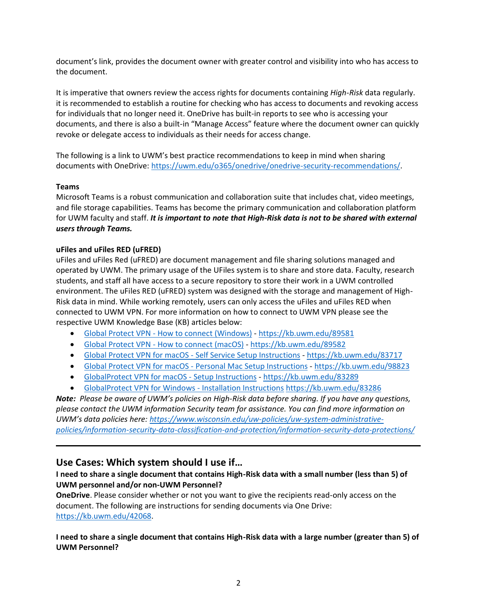document's link, provides the document owner with greater control and visibility into who has access to the document.

It is imperative that owners review the access rights for documents containing *High-Risk* data regularly. it is recommended to establish a routine for checking who has access to documents and revoking access for individuals that no longer need it. OneDrive has built-in reports to see who is accessing your documents, and there is also a built-in "Manage Access" feature where the document owner can quickly revoke or delegate access to individuals as their needs for access change.

The following is a link to UWM's best practice recommendations to keep in mind when sharing documents with OneDrive: [https://uwm.edu/o365/onedrive/onedrive-security-recommendations/.](https://uwm.edu/o365/onedrive/onedrive-security-recommendations/)

#### **Teams**

Microsoft Teams is a robust communication and collaboration suite that includes chat, video meetings, and file storage capabilities. Teams has become the primary communication and collaboration platform for UWM faculty and staff. *It is important to note that High-Risk data is not to be shared with external users through Teams.*

## **uFiles and uFiles RED (uFRED)**

uFiles and uFiles Red (uFRED) are document management and file sharing solutions managed and operated by UWM. The primary usage of the UFiles system is to share and store data. Faculty, research students, and staff all have access to a secure repository to store their work in a UWM controlled environment. The uFiles RED (uFRED) system was designed with the storage and management of High-Risk data in mind. While working remotely, users can only access the uFiles and uFiles RED when connected to UWM VPN. For more information on how to connect to UWM VPN please see the respective UWM Knowledge Base (KB) articles below:

- Global Protect VPN [How to connect \(Windows\)](https://kb.uwm.edu/89581) <https://kb.uwm.edu/89581>
- Global Protect VPN [How to connect \(macOS\)](https://kb.uwm.edu/89582) <https://kb.uwm.edu/89582>
- [Global Protect VPN for macOS -](https://kb.uwm.edu/83717) Self Service Setup Instructions <https://kb.uwm.edu/83717>
- Global Protect VPN for macOS [Personal Mac Setup Instructions](https://kb.uwm.edu/98823) <https://kb.uwm.edu/98823>
- [GlobalProtect VPN for macOS -](https://kb.uwm.edu/83289) Setup Instructions <https://kb.uwm.edu/83289>
- [GlobalProtect VPN for Windows -](https://kb.uwm.edu/83286) Installation Instructions <https://kb.uwm.edu/83286>

*Note: Please be aware of UWM's policies on High-Risk data before sharing. If you have any questions, please contact the UWM information Security team for assistance. You can find more information on UWM's data policies here: [https://www.wisconsin.edu/uw-policies/uw-system-administrative](https://www.wisconsin.edu/uw-policies/uw-system-administrative-policies/information-security-data-classification-and-protection/information-security-data-protections/)[policies/information-security-data-classification-and-protection/information-security-data-protections/](https://www.wisconsin.edu/uw-policies/uw-system-administrative-policies/information-security-data-classification-and-protection/information-security-data-protections/)*

# **Use Cases: Which system should I use if…**

## **I need to share a single document that contains High-Risk data with a small number (less than 5) of UWM personnel and/or non-UWM Personnel?**

**OneDrive**. Please consider whether or not you want to give the recipients read-only access on the document. The following are instructions for sending documents via One Drive: [https://kb.uwm.edu/42068.](https://kb.uwm.edu/42068)

#### **I need to share a single document that contains High-Risk data with a large number (greater than 5) of UWM Personnel?**